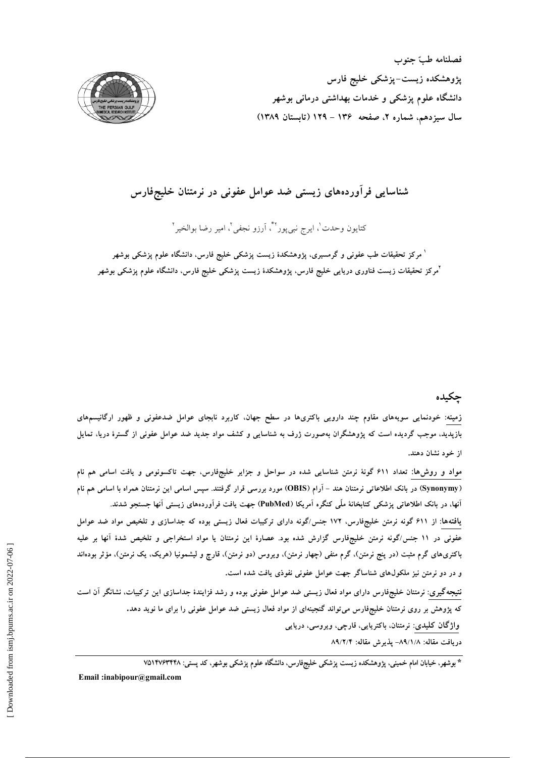



## شناسایی فرآوردههای زیستی ضد عوامل عفونی در نرمتنان خلیجفارس

کتایون وحدت<sup>י</sup>، ایرج نبیeور<sup>۲</sup>ٌ، آرزو نجفی<sup>٬</sup>، امیر رضا بوالخیر<sup>۲</sup>

<sup>ا</sup> مرکز تحقیقات طب عفون<sub>ی</sub> و گرمسیری، پژوهشکدهٔ زیست پزشکی خلیج فارس، دانشگاه علوم پزشکی بوشهر آمرکز تحقیقات زیست فناوری دریایی خلیج فارس، پژوهشکدهٔ زیست پزشکی خلیج فارس، دانشگاه علوم پزشکی بوشهر

### جكيده

زمینه: خودنمایی سویههای مقاوم چند دارویی باکتریها در سطح جهان، کاربرد نابجای عوامل ضدعفونی و ظهور ارگانیسمهای بازپدید، موجب گردیده است که پژوهشگران بهصورت ژرف به شناسایی و کشف مواد جدید ضد عوامل عفونی از گسترهٔ دریا، تمایل از خود نشان دهند.

مواد و روش۵ا: تعداد ۶۱۱ گونهٔ نرمتن شناسایی شده در سواحل و جزایر خلیجفارس، جهت تاکسونومی و یافت اسامی هم نام (Synonymy) در بانک اطلاعاتی نرمتنان هند – آرام (OBIS) مورد بررسی قرار گرفتند. سپس اسامی این نرمتنان همراه با اسامی هم نام آنها، در بانک اطلاعاتی پزشکی کتابخانهٔ ملّمی کنگره آمریکا (PubMed) جهت یافت فرآوردههای زیستی آنها جستجو شدند. یافتهها: از ۶۱۱ گونه نرمتن خلیجفارس، ۱۷۲ جنس/گونه دارای ترکیبات فعال زیستی بوده که جداسازی و تلخیص مواد ضد عوامل عفونی در ۱۱ جنس/گونه نرمتن خلیجفارس گزارش شده بود. عصارهٔ این نرمتنان یا مواد استخراجی و تلخیص شدهٔ آنها بر علیه باکتریهای گرم مثبت (در پنج نرمتن)، گرم منفی (چهار نرمتن)، ویروس (دو نرمتن)، قارچ و لیشمونیا (هریک، یک نرمتن)، مؤثر بودهاند و در دو نرمتن نیز ملکولهای شناساگر جهت عوامل عفونی نفوذی یافت شده است. نتیجهگیری: نرمتنان خلیجفارس دارای مواد فعال زیستی ضد عوامل عفونی بوده و رشد فزایندهٔ جداسازی این ترکیبات، نشانگر آن است که پژوهش بر روی نرمتنان خلیجفارس می تواند گنجینهای از مواد فعال زیستی ضد عوامل عفونی را برای ما نوید دهد. واژگان کلیدی: نرمتنان، باکتریایی، قارچی، ویروسی، دریایی

دريافت مقاله: ٨٩/١/٨- يذيرش مقاله: ٨٩/٢/٢

\* بوشهر، خیابان امام خمینی، پژوهشکده زیست پزشکی خلیجفارس، دانشگاه علوم پزشکی بوشهر، کد پستی: ۷۵۱۴۷۶۳۴۴۸

Email:inabipour@gmail.com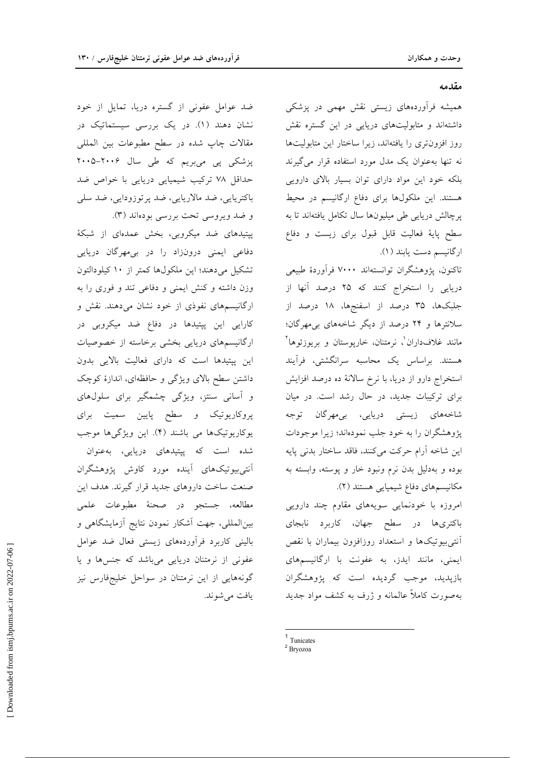#### مقدمه

همیشه فرآوردههای زیستی نقش مهمی در یزشکی داشتهاند و متابولیتهای دریایی در این گستره نقش روز افزون تری را یافتهاند، زیرا ساختار این متابولیتها نه تنها به عنوان یک مدل مورد استفاده قرار میگیرند بلکه خود این مواد دارای توان بسیار بالای دارویی هستند. این ملکولها برای دفاع ارگانیسم در محیط پرچالش دریایی طی میلیونها سال تکامل یافتهاند تا به سطح پایهٔ فعالیت قابل قبول برای زیست و دفاع ارگانیسم دست یابند (۱).

تاكنون، پژوهشگران توانستهاند ۷۰۰۰ فرآوردهٔ طبیعی دریایی را استخراج کنند که ۲۵ درصد آنها از جلبکها، ۳۵ درصد از اسفنجها، ۱۸ درصد از سلانترها و ۲۴ درصد از دیگر شاخههای بی مهرگان؛ مانند غلافداران'، نرمتنان، خارپوستان و بریوزئوها<sup>۲</sup> هستند. براساس یک محاسبه سرانگشتی، فرآیند استخراج دارو از دریا، با نرخ سالانهٔ ده درصد افزایش برای ترکیبات جدید، در حال رشد است. در میان شاخەھاي زيستى دريايى، بى<sub>ە</sub>مھرگان توجە پژوهشگران را به خود جلب نمودهاند؛ زیرا موجودات این شاخه آرام حرکت می کنند، فاقد ساختار بدنی پایه بوده و بهدلیل بدن نرم ونبود خار و پوسته، وابسته به مکانیسمهای دفاع شیمیایی هستند (۲).

امروزه با خودنمایی سویههای مقاوم چند دارویی باکتریها در سطح جهان، کاربرد نابجای آنتی بیوتیکها و استعداد روزافزون بیماران با نقص ایمنی، مانند ایدز، به عفونت با ارگانیسمهای بازپدید، موجب گردیده است که پژوهشگران بهصورت کاملاً عالمانه و ژرف به کشف مواد جدید

ضد عوامل عفونی از گستره دریا، تمایل از خود نشان دهند (۱). در یک بررسی سیستماتیک در مقالات چاپ شده در سطح مطبوعات بین المللی پزشکی پی میبریم که طی سال ۲۰۰۶–۲۰۰۵ حداقل ۷۸ ترکیب شیمیایی دریایی با خواص ضد باکتریایی، ضد مالاریایی، ضد پرتوزودایی، ضد سلی و ضد ویروسی تحت بررسی بودهاند (۳).

پیتیدهای ضد میکروبی، بخش عمدهای از شبکهٔ دفاعی ایمنی درونزاد را در بی مهرگان دریایی تشکیل می دهند؛ این ملکولها کمتر از ١٠ کیلودالتون وزن داشته وكنش ايمنى و دفاعى تند و فورى را به ارگانیسمهای نفوذی از خود نشان می دهند. نقش و کارایی این پیتیدها در دفاع ضد میکروبی در ارگانیسمهای دریایی بخشی برخاسته از خصوصیات این پیتیدها است که دارای فعالیت بالایی بدون داشتن سطح بالای ویژگی و حافظهای، اندازهٔ کوچک و آسانی سنتز، ویژگی چشمگیر برای سلولهای پروکاریوتیک و سطح پایین سمیت برای یوکاریوتیکها می باشند (۴). این ویژگیها موجب

شده است که پیتیدهای دریایی، بهعنوان آنتی بیوتیکهای آینده مورد کاوش پژوهشگران صنعت ساخت داروهای جدید قرار گیرند. هدف این مطالعه، جستجو در صحنهٔ مطبوعات علمي بین المللی، جهت آشکار نمودن نتایج آزمایشگاهی و بالینی کاربرد فرآوردههای زیستی فعال ضد عوامل عفونی از نرمتنان دریایی میباشد که جنسها و یا گونههایی از این نرمتنان در سواحل خلیجفارس نیز یافت مے شوند.

 $1$  Tunicates

<sup>&</sup>lt;sup>2</sup> Bryozoa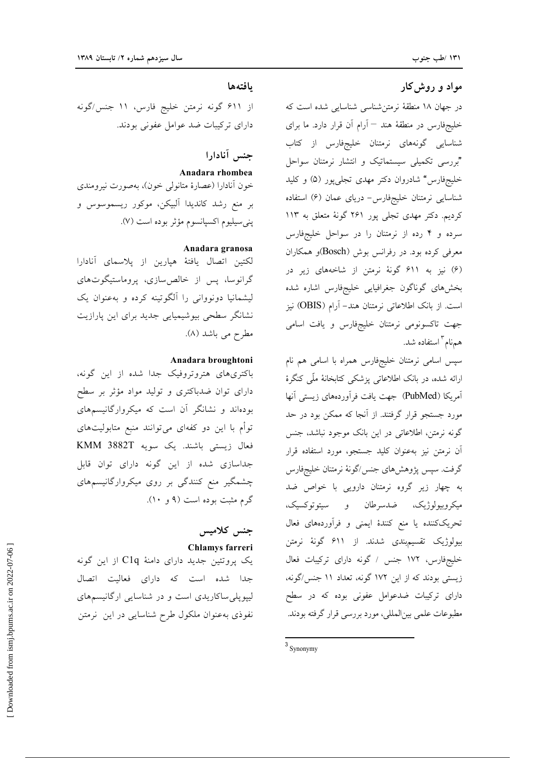### مواد و روش کار

در جهان ۱۸ منطقهٔ نرمتن شناسی شناسایی شده است که خلیجفارس در منطقهٔ هند <sup>—</sup> اَرام اَن قرار دارد. ما برای شناسایی گونههای نرمتنان خلیجفارس از کتاب "بررسی تکمیلی سیستماتیک و انتشار نرمتنان سواحل خلیجفارس" شادروان دکتر مهدی تجلیپور (۵) و کلید شناسایی نرمتنان خلیجفارس- دریای عمان (۶) استفاده کردیم. دکتر مهدی تجلی پور ۲۶۱ گونهٔ متعلق به ۱۱۳ سرده و ۴ رده از نرمتنان را در سواحل خلیجفارس معرفی کرده بود. در رفرانس بوش (Bosch)و همکاران (۶) نیز به ۶۱۱ گونهٔ نرمتن از شاخههای زیر در بخشهاى گوناگون جغرافيايي خليجفارس اشاره شده است. از بانک اطلاعاتی نرمتنان هند- آرام (OBIS) نیز جهت تاکسونومی نرمتنان خلیجفارس و یافت اسامی همنام " استفاده شد.

سپس اسامی نرمتنان خلیجفارس همراه با اسامی هم نام ارائه شده، در بانک اطلاعاتی پزشکی کتابخانهٔ ملّٰی کنگرهٔ آمريكا (PubMed) جهت يافت فرآوردههاى زيستى آنها مورد جستجو قرار گرفتند. از آنجا که ممکن بود در حد گونه نرمتن، اطلاعاتی در این بانک موجود نباشد، جنس آن نرمتن نیز بهعنوان کلید جستجو، مورد استفاده قرار گرفت. سپس پژوهشهای جنس/گونهٔ نرمتنان خلیجفارس به چهار زیر گروه نرمتنان دارویی با خواص ضد ميكروبيولوژيك، ضدسرطان و سيتوتوكسيك، تحریککننده یا منع کنندهٔ ایمنی و فراَوردههای فعال بیولوژیک تقسیم.بندی شدند. از ۶۱۱ گونهٔ نرمتن خلیجفارس، ۱۷۲ جنس / گونه دارای ترکیبات فعال زیستی بودند که از این ۱۷۲ گونه، تعداد ۱۱ جنس/گونه، دارای ترکیبات ضدعوامل عفونی بوده که در سطح مطبوعات علمي بين|لمللي، مورد بررسي قرار گرفته بودند.

### بافتهها

از ۶۱۱ گونه نرمتن خليج فارس، ۱۱ جنس/گونه دارای ترکیبات ضد عوامل عفونی بودند.

# جنس آنادارا

Anadara rhombea

خون آنادارا (عصارهٔ متانولی خون)، بهصورت نیرومندی بر منع رشد کاندیدا آلبیکن، موکور ریسموسوس و يني سيليوم اكسيانسوم مؤثر بوده است (٧).

#### Anadara granosa

لكتين اتصال يافتهٔ هيارين از پلاسماي آنادارا گرانوسا، پس از خالص سازی، پروماستیگوتهای لیشمانیا دونووانی را آلگوتینه کرده و بهعنوان یک نشانگر سطحی بیوشیمیایی جدید برای این پارازیت مطرح می باشد (۸).

### Anadara broughtoni

باکتریهای هتروتروفیک جدا شده از این گونه، دارای توان ضدباکتری و تولید مواد مؤثر بر سطح بودهاند و نشانگر آن است که میکروارگانیسمهای توأم با این دو کفهای میتوانند منبع متابولیتهای فعال زيستى باشند. يک سويه KMM 3882T جداسازی شده از این گونه دارای توان قابل چشمگیر منع کنندگی بر روی میکروارگانیسمهای گرم مثبت بوده است (۹ و ۱۰).

## جنس كلاميس Chlamys farreri

یک پروتئین جدید دارای دامنهٔ C1q از این گونه جدا شده است که دارای فعالیت اتصال لیپوپلی ساکاریدی است و در شناسایی ارگانیسمهای نفوذي به عنوان ملكول طرح شناسايي در اين نرمتن

 $3$  Synonymy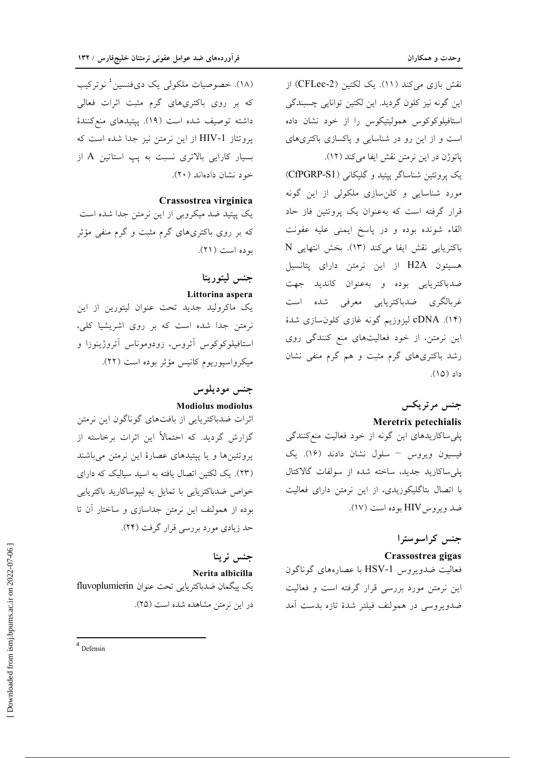نقش بازی میکند (١١). یک لکتین (CFLec-2) از این گونه نیز کلون گردید. این لکتین توانایی چسبندگی استافیلوکوکوس همولیتیکوس را از خود نشان داده است و از این رو در شناسایی و پاکسازی باکتریهای ياتوژن در اين نرمتن نقش ايفا مي كند (١٢).

یک پروتئین شناساگر پیتید و گلیکانی (CfPGRP-S1) مورد شناسایی و کلن سازی ملکولی از این گونه قرار گرفته است که بهعنوان یک پروتئین فاز حاد القاء شونده بوده و در پاسخ ايمنى عليه عفونت باكتريايي نقش ايفا مي كند (١٣). بخش انتهايي N هسیتون H2A از این نرمتن دارای پتانسیل ضدباكتريايي بوده و بهعنوان كانديد جهت غربالگرى ضدباكتريايى معرفى شده است (۱۴). cDNA لیزوزیم گونه غازی کلون سازی شدهٔ این نرمتن، از خود فعالیتهای منع کنندگی روی رشد باکتریهای گرم مثبت و هم گرم منفی نشان داد (١۵).

## جنس مرتريكس

### Meretrix petechialis

پلی ساکاریدهای این گونه از خود فعالیت منع کنندگی فیسیون ویروس - سلول نشان دادند (١۶). یک يلي ساكاريد جديد، ساخته شده از سولفات گالاكتال با اتصال بتاگلیکوزیدی، از این نرمتن دارای فعالیت ضد ویروس HIV بوده است (١٧).

## جنس كراسوسترا

### Crassostrea gigas

فعالیت ضدویروس HSV-1 با عصارههای گوناگون این نرمتن مورد بررسی قرار گرفته است و فعالیت ضدويووسي در همولنف فيلتر شدهٔ تازه بدست أمد

(١٨). خصوصيات ملكولى يك دىفنسين<sup>؛</sup> نوتركيب که بر روی باکتریهای گرم مثبت اثرات فعالی داشته توصيف شده است (١٩). پيتيدهاي منع كنندة پروتئاز HIV-1 از این نرمتن نیز جدا شده است که بسیار کارایی بالاتری نسبت به یپ استاتین A از خود نشان دادهاند (۲۰).

### Crassostrea virginica

یک پیتید ضد میکروبی از این نرمتن جدا شده است که بر روی باکتریهای گرم مثبت و گرم منفی مؤثر بو ده است (٢١).

## جنس ليتورينا Littorina aspera

یک ماکرولید جدید تحت عنوان لیتورین از این نرمتن جدا شده است که بر روی اشریشیا کلی، استافیلوکوکوس آئروس، زودوموناس آئروژینوزا و میکرواسپوریوم کانیس مؤثر بوده است (۲۲).

## جنس موديلوس **Modiolus modiolus**

اثرات ضدباکتریایی از بافتهای گوناگون این نرمتن گزارش گردید. که احتمالاً این اثرات برخاسته از یروتئینها و یا پیتیدهای عصارهٔ این نرمتن می باشند (۲۳). یک لکتین اتصال یافته به اسید سیالیک که دارای خواص ضدباکتریایی با تمایل به لیپوساکارید باکتریایی بوده از همولنف این نرمتن جداسازی و ساختار آن تا حد زیادی مورد بررسی قرار گرفت (۲۴).

جنس نرينا Nerita albicilla یک پیگمان ضدباکتریایی تحت عنوان fluvoplumierin در این نرمتن مشاهده شده است (۲۵).

 $4$  Defensin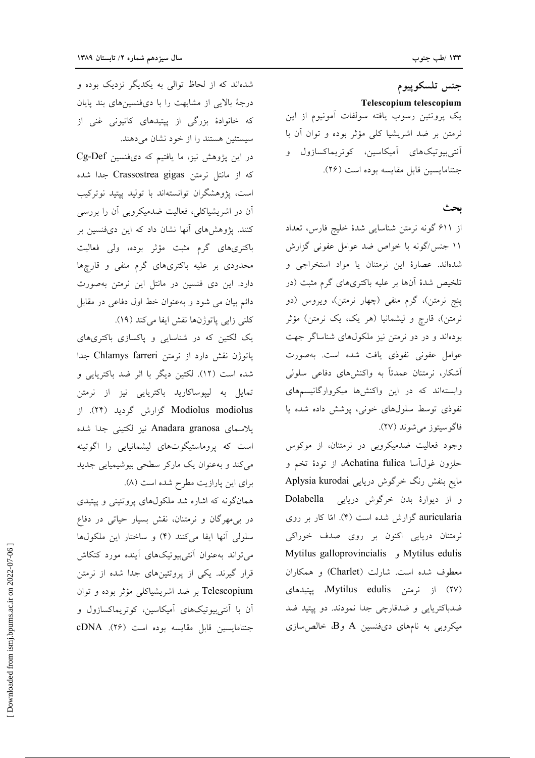جنس تلسكوپيوم Telescopium telescopium یک پروتئین رسوب یافته سولفات آمونیوم از این نرمتن بر ضد اشریشیا کلی مؤثر بوده و توان آن با آنت<sub>ی،</sub>بیوتیکهای آمیکاسین، کوتریماکسازول و جنتامايسين قابل مقايسه بوده است (٢۶).

بحث

از ۶۱۱ گونه نرمتن شناسایی شدهٔ خلیج فارس، تعداد ۱۱ جنس/گونه با خواص ضد عوامل عفونی گزارش شدهاند. عصارهٔ این نرمتنان یا مواد استخراجی و .<br>تلخیص شدهٔ آنها بر علیه باکتریهای گرم مثبت (در پنج نرمتن)، گرم منفی (چهار نرمتن)، ویروس (دو نرمتن)، قارچ و لیشمانیا (هر یک، یک نرمتن) مؤثر بودهاند و در دو نرمتن نیز ملکولهای شناساگر جهت عوامل عفونی نفوذی یافت شده است. بهصورت آشکار، نرمتنان عمدتاً به واکنشهای دفاعی سلول<sub>ی</sub> وابستهاند که در این واکنشها میکروارگانیسمهای نفوذي توسط سلولهاي خوني، پوشش داده شده يا فاگوسيتوز مي شوند (٢٧).

وجود فعالیت ضدمیکروبی در نرمتنان، از موکوس حلزون غولآسا Achatina fulica، از تودهٔ تخم و مایع بنفش رنگ خرگوش دریایی Aplysia kurodai و از دیوارهٔ بدن خرگوش دریایی Dolabella auricularia گزارش شده است (۴). امّا کار بر روی نرمتنان دریایی اکنون بر روی صدف خوراکی Mytilus galloprovincialis y Mytilus edulis معطوف شده است. شارلت (Charlet) و همكاران (٢٧) از نرمتن Mytilus edulis، پیتیدهای ضدباکتریایی و ضدقارچی جدا نمودند. دو پیتید ضد میکروبی به نامهای دیفنسین A وB، خالص سازی

شدهاند که از لحاظ توالی به یکدیگر نزدیک بوده و درجهٔ بالایی از مشابهت را با دیفنسینهای بند پایان که خانوادهٔ بزرگی از پیتیدهای کاتیونی غنی از سیستئین هستند را از خود نشان میدهند.

در این پژوهش نیز، ما یافتیم که دیفنسین Cg-Def كه از مانتل نرمتن Crassostrea gigas جدا شده است، پژوهشگران توانستهاند با تولید پیتید نوترکیب آن در اشریشیاکلی، فعالیت ضدمیکروبی آن را بررس<u>ی</u> کنند. پژوهشهای آنها نشان داد که این دیفنسین بر باکتریهای گرم مثبت مؤثر بوده، ولی فعالیت محدودی بر علیه باکتریهای گرم منفی و قارچها دارد. این دی فنسین در مانتل این نرمتن بهصورت دائم بیان می شود و بهعنوان خط اول دفاعی در مقابل كلني زايي ياتوژنها نقش ايفا ميكند (١٩).

یک لکتین که در شناسایی و پاکسازی باکتریهای یاتوژن نقش دارد از نرمتن Chlamys farreri جدا شده است (١٢). لكتين ديگر با اثر ضد باكتريايي و تمایل به لیپوساکارید باکتریایی نیز از نرمتن Modiolus modiolus گزارش گردید (۲۴). از یلاسمای Anadara granosa نیز لکتینی جدا شده است که پروماستیگوتهای لیشمانیایی را اگوتینه میکند و بهعنوان یک مارکر سطحی بیوشیمیایی جدید برای این پارازیت مطرح شده است (۸).

همانگونه که اشاره شد ملکولهای پروتئینی و پیتیدی در بی مهرگان و نرمتنان، نقش بسیار حیاتی در دفاع سلولي آنها ايفا مي كنند (۴) و ساختار اين ملكولها می تواند بهعنوان آنتیبیوتیکهای آینده مورد کنکاش قرار گیرند. یکی از پروتئینهای جدا شده از نرمتن Telescopium بر ضد اشریشیاکلی مؤثر بوده و توان آن با آنتی بیوتیکهای آمیکاسین، کوتریماکسازول و جنتامايسين قابل مقايسه بوده است (٢۶). cDNA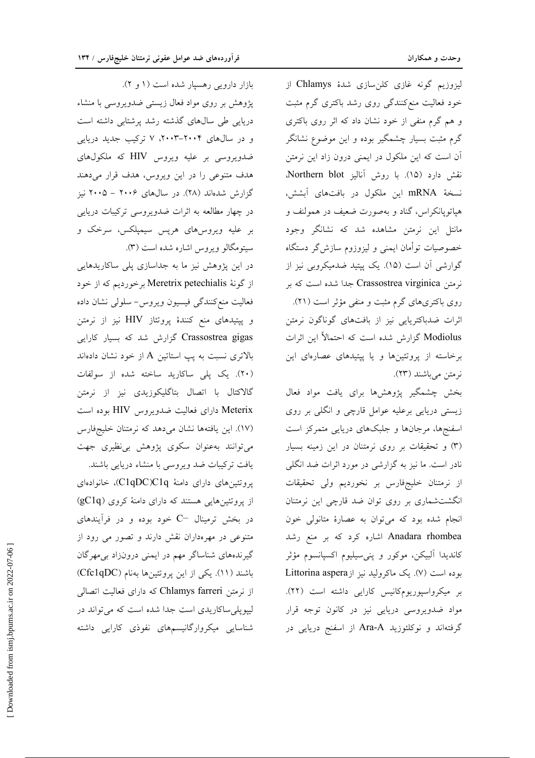لیزوزیم گونه غازی کلنسازی شدهٔ Chlamys از خود فعالیت منع کنندگی روی رشد باکتری گرم مثبت و هم گرم منفی از خود نشان داد که اثر روی باکتری گرم مثبت بسیار چشمگیر بوده و این موضوع نشانگر آن است که این ملکول در ایمنی درون زاد این نرمتن نقش دارد (١٥). با روش آناليز Northern blot. نسخة mRNA اين ملكول در بافتهاى آبشش، هیاتوپانکراس، گناد و بهصورت ضعیف در همولنف و مانتل این نرمتن مشاهده شد که نشانگر وجود خصوصیات توأمان ایمنی و لیزوزوم سازش گر دستگاه گوارشی آن است (۱۵). یک پیتید ضدمیکروبی نیز از نرمتن Crassostrea virginica جدا شده است که بر روی باکتریهای گرم مثبت و منفی مؤثر است (۲۱). اثرات ضدباکتریایی نیز از بافتهای گوناگون نرمتن Modiolus گزارش شده است که احتمالاً این اثرات برخاسته از پروتئینها و یا پپتیدهای عصارهای این نرمتن مي باشند (٢٣).

بخش چشمگیر پژوهشها برای یافت مواد فعال زیستی دریایی برعلیه عوامل قارچی و انگلی بر روی اسفنجها، مرجانها و جلبکهای دریایی متمرکز است (٣) و تحقیقات بر روی نرمتنان در این زمینه بسیار نادر است. ما نیز به گزارشی در مورد اثرات ضد انگلی از نرمتنان خلیجفارس بر نخوردیم ولی تحقیقات انگشتشماری بر روی توان ضد قارچی این نرمتنان انجام شده بود که میتوان به عصارهٔ متانولی خون Anadara rhombea اشاره کرد که بر منع رشد كانديدا آلبيكن، موكور و پنيسيليوم اكسپانسوم مؤثر بوده است (٧). یک ماکرولید نیز از Littorina aspera بر میکرواسپوریومکانیس کارایی داشته است (۲۲). مواد ضدویروسی دریایی نیز در کانون توجه قرار گرفتهاند و نوکلئوزید Ara-A از اسفنج دریایی در

بازار دارویی رهسپار شده است (١ و ٢). پژوهش بر روی مواد فعال زیستی ضدویروسی با منشاء دریایی طی سالهای گذشته رشد پرشتابی داشته است و در سالهای ۲۰۰۴-۲۰۰۳، ۷ ترکیب جدید دریایی ضدویروسی بر علیه ویروس HIV که ملکولهای هدف متنوعی را در این ویروس، هدف قرار میدهند گزارش شدهاند (۲۸). در سالهای ۲۰۰۶ – ۲۰۰۵ نیز در چهار مطالعه به اثرات ضدویروسی ترکیبات دریایی بر علیه ویروس،های هرپس سیمپلکس، سرخک و سیتومگالو ویروس اشاره شده است (۳).

در این پژوهش نیز ما به جداسازی پلی ساکاریدهایی از گونهٔ Meretrix petechialis برخوردیم که از خود فعالیت منع کنندگی فیسیون ویروس− سلولی نشان داده و پیتیدهای منع کنندهٔ پروتئاز HIV نیز از نرمتن Crassostrea gigas گزارش شد که بسیار کارایی بالاتری نسبت به پپ استاتین A از خود نشان دادهاند (٢٠). یک پلی ساکارید ساخته شده از سولفات گالاکتال با اتصال بتاگلیکوزیدی نیز از نرمتن Meterix دارای فعالیت ضدویروس HIV بوده است (١٧). این یافتهها نشان میدهد که نرمتنان خلیجفارس می توانند به عنوان سکوی پژوهش بی نظیری جهت یافت ترکیبات ضد ویروسی با منشاء دریایی باشند.

پروتئینهای دارای دامنهٔ C1qDC)C1q)، خانوادهای از پروتئینهایی هستند که دارای دامنهٔ کروی (gClq) در بخش ترمینال $C-$  خود بوده و در فرآیندهای متنوعی در مهرهداران نقش دارند و تصور می رود از گیرندههای شناساگر مهم در ایمنی درونزاد بی مهرگان باشند (١١). یکی از این پروتئینها بهنام (Cfc1qDC) از نرمتن Chlamys farreri که دارای فعالیت اتصالی لیپوپلی ساکاریدی است جدا شده است که می تواند در شناسایی میکروارگانیسمهای نفوذی کارایی داشته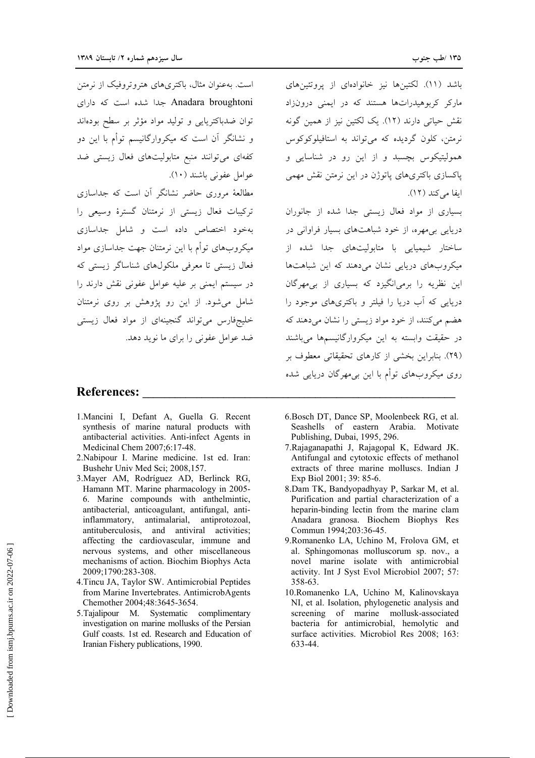است. بهعنوان مثال، باکتریهای هتروتروفیک از نرمتن Anadara broughtoni جدا شده است که دارای

توان ضدباكتريايي و توليد مواد مؤثر بر سطح بودهاند

و نشانگر آن است که میکروارگانیسم توأم با این دو

کفهای میتوانند منبع متابولیتهای فعال زیستی ضد

مطالعهٔ مروری حاضر نشانگر آن است که جداسازی

ترکیبات فعال زیستی از نرمتنان گسترهٔ وسیعی را

بهخود اختصاص داده است و شامل جداسازی

میکروبهای توأم با این نرمتنان جهت جداسازی مواد

فعال زیستی تا معرفی ملکولهای شناساگر زیستی که

در سیستم ایمنی بر علیه عوامل عفونی نقش دارند را

شامل می شود. از این رو پژوهش بر روی نرمتنان

خلیجفارس می تواند گنجینهای از مواد فعال زیستی

ضد عوامل عفونی را برای ما نوید دهد.

عوامل عفوني باشند (١٠).

باشد (١١). لكتينها نيز خانوادهاي از يروتئينهاي مارکر کربوهیدراتها هستند که در ایمنی درونزاد نقش حیاتی دارند (١٢). یک لکتین نیز از همین گونه نرمتن، کلون گردیده که می تواند به استافیلوکوکوس .<br>همولیتیکوس بچسبد و از این رو در شناسایی و پاکسازی باکتریهای پاتوژن در این نرمتن نقش مهمی ايفا مركند (١٢).

بسیاری از مواد فعال زیستی جدا شده از جانوران دریایی بی مهره، از خود شباهتهای بسیار فراوانی در .<br>ساختار شیمیایی با متابولیتهای جدا شده از میکروبهای دریایی نشان می دهند که این شباهتها این نظریه را برمی(نگیزد که بسیاری از بی مهرگان دریایی که آب دریا را فیلتر و باکتریهای موجود را هضم میکنند، از خود مواد زیستی را نشان می دهند که در حقیقت وابسته به این میکروارگانیسمها میباشند (۲۹). بنابراین بخشی از کارهای تحقیقاتی معطوف بر روی میکروبهای توأم با این بیِ مهرگان دریایی شده

### **References:**

- 1. Mancini I, Defant A, Guella G. Recent synthesis of marine natural products with antibacterial activities. Anti-infect Agents in Medicinal Chem 2007;6:17-48.
- 2. Nabipour I. Marine medicine. 1st ed. Iran: Bushehr Univ Med Sci; 2008,157.
- 3. Mayer AM, Rodríguez AD, Berlinck RG, Hamann MT. Marine pharmacology in 2005-6. Marine compounds with anthelmintic, antibacterial, anticoagulant, antifungal, antiinflammatory, antimalarial, antiprotozoal, antituberculosis, and antiviral activities; affecting the cardiovascular, immune and nervous systems, and other miscellaneous mechanisms of action. Biochim Biophys Acta 2009;1790:283-308.
- 4. Tincu JA, Taylor SW. Antimicrobial Peptides from Marine Invertebrates. AntimicrobAgents Chemother 2004;48:3645-3654.
- 5. Tajalipour M. Systematic complimentary investigation on marine mollusks of the Persian Gulf coasts. 1st ed. Research and Education of Iranian Fishery publications, 1990.
- 6. Bosch DT, Dance SP, Moolenbeek RG, et al. Seashells of eastern Arabia. Motivate Publishing, Dubai, 1995, 296.
- 7. Rajaganapathi J, Rajagopal K, Edward JK. Antifungal and cytotoxic effects of methanol extracts of three marine molluscs. Indian J Exp Biol 2001; 39: 85-6.
- 8.Dam TK, Bandyopadhyay P, Sarkar M, et al. Purification and partial characterization of a heparin-binding lectin from the marine clam Anadara granosa. Biochem Biophys Res Commun 1994;203:36-45.
- 9. Romanenko LA, Uchino M, Frolova GM, et al. Sphingomonas molluscorum sp. nov., a novel marine isolate with antimicrobial activity. Int J Syst Evol Microbiol 2007; 57: 358-63.
- 10.Romanenko LA, Uchino M, Kalinovskaya NI, et al. Isolation, phylogenetic analysis and screening of marine mollusk-associated bacteria for antimicrobial, hemolytic and surface activities. Microbiol Res 2008; 163: 633-44.